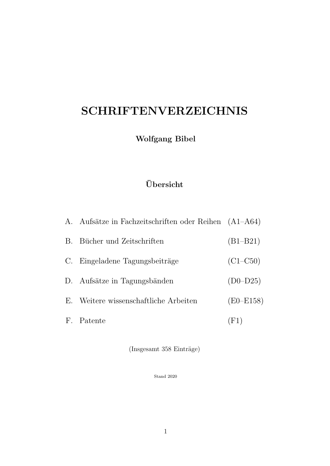# SCHRIFTENVERZEICHNIS

Wolfgang Bibel

# Ubersicht ¨

| A. Aufsätze in Fachzeitschriften oder Reihen (A1–A64) |              |
|-------------------------------------------------------|--------------|
| B. Bücher und Zeitschriften                           | $(B1 - B21)$ |
| C. Eingeladene Tagungsbeiträge                        | $(C1-C50)$   |
| D. Aufsätze in Tagungsbänden                          | $(D0-D25)$   |
| E. Weitere wissenschaftliche Arbeiten                 | $(E0-E158)$  |
| F. Patente                                            | (F1)         |

 $($ Insgesamt 358 Einträge $)$ 

Stand 2020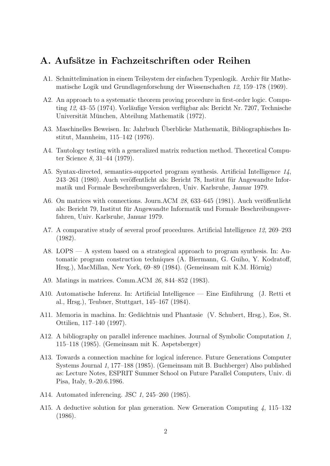#### A. Aufsätze in Fachzeitschriften oder Reihen

- A1. Schnittelimination in einem Teilsystem der einfachen Typenlogik. Archiv für Mathematische Logik und Grundlagenforschung der Wissenschaften 12, 159–178 (1969).
- A2. An approach to a systematic theorem proving procedure in first-order logic. Computing  $12, 43–55$  (1974). Vorläufige Version verfügbar als: Bericht Nr. 7207, Technische Universität München, Abteilung Mathematik (1972).
- A3. Maschinelles Beweisen. In: Jahrbuch Uberblicke Mathematik, Bibliographisches In- ¨ stitut, Mannheim, 115–142 (1976).
- A4. Tautology testing with a generalized matrix reduction method. Theoretical Computer Science 8, 31–44 (1979).
- A5. Syntax-directed, semantics-supported program synthesis. Artificial Intelligence 14,  $243-261$  (1980). Auch veröffentlicht als: Bericht 78, Institut für Angewandte Informatik und Formale Beschreibungsverfahren, Univ. Karlsruhe, Januar 1979.
- A6. On matrices with connections. Journ.ACM 28, 633–645 (1981). Auch veröffentlicht als: Bericht 79, Institut für Angewandte Informatik und Formale Beschreibungsverfahren, Univ. Karlsruhe, Januar 1979.
- A7. A comparative study of several proof procedures. Artificial Intelligence 12, 269–293 (1982).
- A8. LOPS A system based on a strategical approach to program synthesis. In: Automatic program construction techniques (A. Biermann, G. Guiho, Y. Kodratoff, Hrsg.), MacMillan, New York, 69–89 (1984). (Gemeinsam mit K.M. Hörnig)
- A9. Matings in matrices. Comm.ACM 26, 844–852 (1983).
- A10. Automatische Inferenz. In: Artificial Intelligence Eine Einführung (J. Retti et al., Hrsg.), Teubner, Stuttgart, 145–167 (1984).
- A11. Memoria in machina. In: Gedächtnis und Phantasie (V. Schubert, Hrsg.), Eos, St. Ottilien, 117–140 (1997).
- A12. A bibliography on parallel inference machines. Journal of Symbolic Computation 1, 115–118 (1985). (Gemeinsam mit K. Aspetsberger)
- A13. Towards a connection machine for logical inference. Future Generations Computer Systems Journal 1, 177–188 (1985). (Gemeinsam mit B. Buchberger) Also published as: Lecture Notes, ESPRIT Summer School on Future Parallel Computers, Univ. di Pisa, Italy, 9.-20.6.1986.
- A14. Automated inferencing. JSC 1, 245–260 (1985).
- A15. A deductive solution for plan generation. New Generation Computing 4, 115–132 (1986).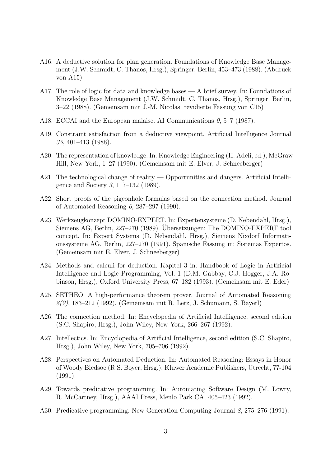- A16. A deductive solution for plan generation. Foundations of Knowledge Base Management (J.W. Schmidt, C. Thanos, Hrsg.), Springer, Berlin, 453–473 (1988). (Abdruck von A15)
- A17. The role of logic for data and knowledge bases A brief survey. In: Foundations of Knowledge Base Management (J.W. Schmidt, C. Thanos, Hrsg.), Springer, Berlin, 3–22 (1988). (Gemeinsam mit J.-M. Nicolas; revidierte Fassung von C15)
- A18. ECCAI and the European malaise. AI Communications  $\theta$ , 5–7 (1987).
- A19. Constraint satisfaction from a deductive viewpoint. Artificial Intelligence Journal 35, 401–413 (1988).
- A20. The representation of knowledge. In: Knowledge Engineering (H. Adeli, ed.), McGraw-Hill, New York, 1–27 (1990). (Gemeinsam mit E. Elver, J. Schneeberger)
- A21. The technological change of reality Opportunities and dangers. Artificial Intelligence and Society 3, 117–132 (1989).
- A22. Short proofs of the pigeonhole formulas based on the connection method. Journal of Automated Reasoning 6, 287–297 (1990).
- A23. Werkzeugkonzept DOMINO-EXPERT. In: Expertensysteme (D. Nebendahl, Hrsg.), Siemens AG, Berlin, 227–270 (1989). Übersetzungen: The DOMINO-EXPERT tool concept. In: Expert Systems (D. Nebendahl, Hrsg.), Siemens Nixdorf Informationssysteme AG, Berlin, 227–270 (1991). Spanische Fassung in: Sistemas Expertos. (Gemeinsam mit E. Elver, J. Schneeberger)
- A24. Methods and calculi for deduction. Kapitel 3 in: Handbook of Logic in Artificial Intelligence and Logic Programming, Vol. 1 (D.M. Gabbay, C.J. Hogger, J.A. Robinson, Hrsg.), Oxford University Press, 67–182 (1993). (Gemeinsam mit E. Eder)
- A25. SETHEO: A high-performance theorem prover. Journal of Automated Reasoning 8(2), 183–212 (1992). (Gemeinsam mit R. Letz, J. Schumann, S. Bayerl)
- A26. The connection method. In: Encyclopedia of Artificial Intelligence, second edition (S.C. Shapiro, Hrsg.), John Wiley, New York, 266–267 (1992).
- A27. Intellectics. In: Encyclopedia of Artificial Intelligence, second edition (S.C. Shapiro, Hrsg.), John Wiley, New York, 705–706 (1992).
- A28. Perspectives on Automated Deduction. In: Automated Reasoning: Essays in Honor of Woody Bledsoe (R.S. Boyer, Hrsg.), Kluwer Academic Publishers, Utrecht, 77-104 (1991).
- A29. Towards predicative programming. In: Automating Software Design (M. Lowry, R. McCartney, Hrsg.), AAAI Press, Menlo Park CA, 405–423 (1992).
- A30. Predicative programming. New Generation Computing Journal 8, 275–276 (1991).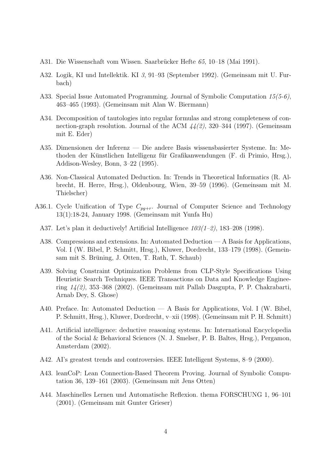- A31. Die Wissenschaft vom Wissen. Saarbrücker Hefte  $65, 10-18$  (Mai 1991).
- A32. Logik, KI und Intellektik. KI 3, 91–93 (September 1992). (Gemeinsam mit U. Furbach)
- A33. Special Issue Automated Programming. Journal of Symbolic Computation 15(5-6), 463–465 (1993). (Gemeinsam mit Alan W. Biermann)
- A34. Decomposition of tautologies into regular formulas and strong completeness of connection-graph resolution. Journal of the ACM  $44(2)$ , 320–344 (1997). (Gemeinsam mit E. Eder)
- A35. Dimensionen der Inferenz Die andere Basis wissensbasierter Systeme. In: Methoden der Künstlichen Intelligenz für Grafikanwendungen (F. di Primio, Hrsg.), Addison-Wesley, Bonn, 3–22 (1995).
- A36. Non-Classical Automated Deduction. In: Trends in Theoretical Informatics (R. Albrecht, H. Herre, Hrsg.), Oldenbourg, Wien, 39–59 (1996). (Gemeinsam mit M. Thielscher)
- A36.1. Cycle Unification of Type  $C_{pq+r}$ . Journal of Computer Science and Technology 13(1):18-24, January 1998. (Gemeinsam mit Yunfa Hu)
	- A37. Let's plan it deductively! Artificial Intelligence  $103(1-2)$ , 183-208 (1998).
	- A38. Compressions and extensions. In: Automated Deduction A Basis for Applications, Vol. I (W. Bibel, P. Schmitt, Hrsg.), Kluwer, Dordrecht, 133–179 (1998). (Gemeinsam mit S. Brüning, J. Otten, T. Rath, T. Schaub)
	- A39. Solving Constraint Optimization Problems from CLP-Style Specifications Using Heuristic Search Techniques. IEEE Transactions on Data and Knowledge Engineering 14(2), 353–368 (2002). (Gemeinsam mit Pallab Dasgupta, P. P. Chakrabarti, Arnab Dey, S. Ghose)
	- A40. Preface. In: Automated Deduction A Basis for Applications, Vol. I (W. Bibel, P. Schmitt, Hrsg.), Kluwer, Dordrecht, v–xii (1998). (Gemeinsam mit P. H. Schmitt)
	- A41. Artificial intelligence: deductive reasoning systems. In: International Encyclopedia of the Social & Behavioral Sciences (N. J. Smelser, P. B. Baltes, Hrsg.), Pergamon, Amsterdam (2002).
	- A42. AI's greatest trends and controversies. IEEE Intelligent Systems, 8–9 (2000).
	- A43. leanCoP: Lean Connection-Based Theorem Proving. Journal of Symbolic Computation 36, 139–161 (2003). (Gemeinsam mit Jens Otten)
	- A44. Maschinelles Lernen und Automatische Reflexion. thema FORSCHUNG 1, 96–101 (2001). (Gemeinsam mit Gunter Grieser)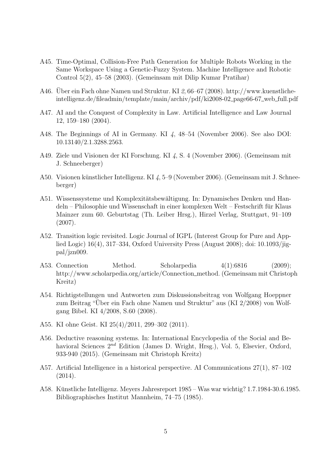- A45. Time-Optimal, Collision-Free Path Generation for Multiple Robots Working in the Same Workspace Using a Genetic-Fuzzy System. Machine Intelligence and Robotic Control 5(2), 45–58 (2003). (Gemeinsam mit Dilip Kumar Pratihar)
- A46. Uber ein Fach ohne Namen und Struktur. KI  $\mathcal{Z}, 66-67$  (2008). http://www.kuenstlicheintelligenz.de/fileadmin/template/main/archiv/pdf/ki2008-02 page66-67 web full.pdf
- A47. AI and the Conquest of Complexity in Law. Artificial Intelligence and Law Journal 12, 159–180 (2004).
- A48. The Beginnings of AI in Germany. KI 4, 48–54 (November 2006). See also DOI: 10.13140/2.1.3288.2563.
- A49. Ziele und Visionen der KI Forschung. KI 4, S. 4 (November 2006). (Gemeinsam mit J. Schneeberger)
- A50. Visionen künstlicher Intelligenz. KI 4, 5–9 (November 2006). (Gemeinsam mit J. Schneeberger)
- A51. Wissenssysteme und Komplexitätsbewältigung. In: Dynamisches Denken und Handeln – Philosophie und Wissenschaft in einer komplexen Welt – Festschrift fur Klaus ¨ Mainzer zum 60. Geburtstag (Th. Leiber Hrsg.), Hirzel Verlag, Stuttgart, 91–109 (2007).
- A52. Transition logic revisited. Logic Journal of IGPL (Interest Group for Pure and Applied Logic) 16(4), 317–334, Oxford University Press (August 2008); doi: 10.1093/jigpal/jzn009.
- A53. Connection Method. Scholarpedia 4(1):6816 (2009); http://www.scholarpedia.org/article/Connection method. (Gemeinsam mit Christoph Kreitz)
- A54. Richtigstellungen und Antworten zum Diskussionsbeitrag von Wolfgang Hoeppner zum Beitrag "Über ein Fach ohne Namen und Struktur" aus (KI 2/2008) von Wolfgang Bibel. KI 4/2008, S.60 (2008).
- A55. KI ohne Geist. KI 25(4)/2011, 299–302 (2011).
- A56. Deductive reasoning systems. In: International Encyclopedia of the Social and Behavioral Sciences  $2^{nd}$  Edition (James D. Wright, Hrsg.), Vol. 5, Elsevier, Oxford, 933-940 (2015). (Gemeinsam mit Christoph Kreitz)
- A57. Artificial Intelligence in a historical perspective. AI Communications 27(1), 87–102 (2014).
- A58. Kunstliche Intelligenz. Meyers Jahresreport 1985 Was war wichtig? 1.7.1984-30.6.1985. ¨ Bibliographisches Institut Mannheim, 74–75 (1985).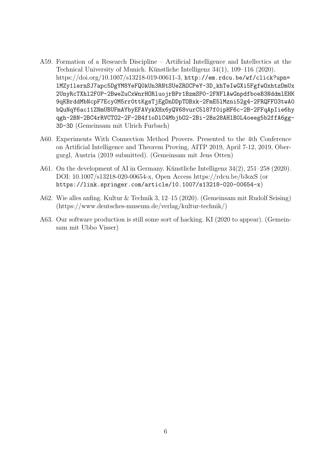- A59. Formation of a Research Discipline Artificial Intelligence and Intellectics at the Technical University of Munich. Künstliche Intelligenz  $34(1)$ ,  $109-116$  (2020). https://doi.org/10.1007/s13218-019-00611-3, http://em.rdcu.be/wf/click?upn= lMZy1lernSJ7apc5DgYM8YeFQ0kUn3RNtSUeZROCPeY-3D\_khTeIwGXi5FgfwOxhtzDmUx 2UnyRcTXhl2F0P-2BweZuCxWnrHORluojrBPr1BzmSP0-2FNFlAwGnpdfboeB3NddmlEHK 9qKBrddMbNcpF7Ecy0M5rr0ttKgsTjEgDnDDpTOBxk-2FmE5lMzni52g4-2FRQFFO3twA0 bQuNqY6ac11ZNmUBUFmAYbyEFAVykXHx6yQV68vurC5l87f0ipHF6c-2B-2FFqApIie6hy qgh-2BN-2BC4rRVCTO2-2F-2B4f1oDlC4MbjbO2-2Bi-2Bs28AHlB0L4oeeg5b2ffA6gg-3D-3D (Gemeinsam mit Ulrich Furbach)
- A60. Experiments With Connection Method Provers. Presented to the 4th Conference on Artificial Intelligence and Theorem Proving, AITP 2019, April 7-12, 2019, Obergurgl, Austria (2019 submitted). (Gemeinsam mit Jens Otten)
- A61. On the development of AI in Germany. Künstliche Intelligenz  $34(2)$ ,  $251-258$  (2020). DOI: 10.1007/s13218-020-00654-x, Open Access https://rdcu.be/b3oxS (or https://link.springer.com/article/10.1007/s13218-020-00654-x)
- A62. Wie alles anfing. Kultur & Technik 3, 12–15 (2020). (Gemeinsam mit Rudolf Seising) (https://www.deutsches-museum.de/verlag/kultur-technik/)
- A63. Our software production is still some sort of hacking. KI (2020 to appear). (Gemeinsam mit Ubbo Visser)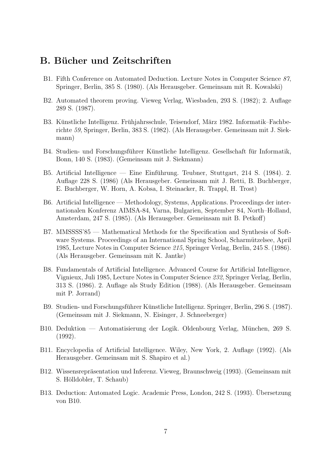#### B. Bücher und Zeitschriften

- B1. Fifth Conference on Automated Deduction. Lecture Notes in Computer Science 87, Springer, Berlin, 385 S. (1980). (Als Herausgeber. Gemeinsam mit R. Kowalski)
- B2. Automated theorem proving. Vieweg Verlag, Wiesbaden, 293 S. (1982); 2. Auflage 289 S. (1987).
- B3. Künstliche Intelligenz. Frühjahrsschule, Teisendorf, März 1982. Informatik–Fachberichte 59, Springer, Berlin, 383 S. (1982). (Als Herausgeber. Gemeinsam mit J. Siekmann)
- B4. Studien- und Forschungsführer Künstliche Intelligenz. Gesellschaft für Informatik, Bonn, 140 S. (1983). (Gemeinsam mit J. Siekmann)
- B5. Artificial Intelligence Eine Einführung. Teubner, Stuttgart, 214 S.  $(1984)$ . 2. Auflage 228 S. (1986) (Als Herausgeber. Gemeinsam mit J. Retti, B. Buchberger, E. Buchberger, W. Horn, A. Kobsa, I. Steinacker, R. Trappl, H. Trost)
- B6. Artificial Intelligence Methodology, Systems, Applications. Proceedings der internationalen Konferenz AIMSA-84, Varna, Bulgarien, September 84, North–Holland, Amsterdam, 247 S. (1985). (Als Herausgeber. Gemeinsam mit B. Petkoff)
- B7. MMSSSS'85 Mathematical Methods for the Specification and Synthesis of Software Systems. Proceedings of an International Spring School, Scharmützelsee, April 1985, Lecture Notes in Computer Science 215, Springer Verlag, Berlin, 245 S. (1986). (Als Herausgeber. Gemeinsam mit K. Jantke)
- B8. Fundamentals of Artificial Intelligence. Advanced Course for Artificial Intelligence, Vignieux, Juli 1985, Lecture Notes in Computer Science 232, Springer Verlag, Berlin, 313 S. (1986). 2. Auflage als Study Edition (1988). (Als Herausgeber. Gemeinsam mit P. Jorrand)
- B9. Studien- und Forschungsführer Künstliche Intelligenz. Springer, Berlin, 296 S. (1987). (Gemeinsam mit J. Siekmann, N. Eisinger, J. Schneeberger)
- B10. Deduktion Automatisierung der Logik. Oldenbourg Verlag, München, 269 S. (1992).
- B11. Encyclopedia of Artificial Intelligence. Wiley, New York, 2. Auflage (1992). (Als Herausgeber. Gemeinsam mit S. Shapiro et al.)
- B12. Wissensrepräsentation und Inferenz. Vieweg, Braunschweig (1993). (Gemeinsam mit S. Hölldobler, T. Schaub)
- B13. Deduction: Automated Logic. Academic Press, London, 242 S. (1993). Ubersetzung von B10.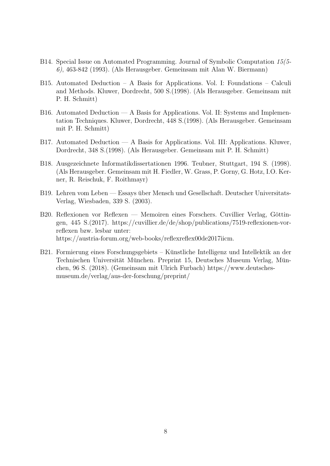- B14. Special Issue on Automated Programming. Journal of Symbolic Computation 15(5- 6), 463-842 (1993). (Als Herausgeber. Gemeinsam mit Alan W. Biermann)
- B15. Automated Deduction A Basis for Applications. Vol. I: Foundations Calculi and Methods. Kluwer, Dordrecht, 500 S.(1998). (Als Herausgeber. Gemeinsam mit P. H. Schmitt)
- B16. Automated Deduction A Basis for Applications. Vol. II: Systems and Implementation Techniques. Kluwer, Dordrecht, 448 S.(1998). (Als Herausgeber. Gemeinsam mit P. H. Schmitt)
- B17. Automated Deduction A Basis for Applications. Vol. III: Applications. Kluwer, Dordrecht, 348 S.(1998). (Als Herausgeber. Gemeinsam mit P. H. Schmitt)
- B18. Ausgezeichnete Informatikdissertationen 1996. Teubner, Stuttgart, 194 S. (1998). (Als Herausgeber. Gemeinsam mit H. Fiedler, W. Grass, P. Gorny, G. Hotz, I.O. Kerner, R. Reischuk, F. Roithmayr)
- B19. Lehren vom Leben Essays uber Mensch und Gesellschaft. Deutscher Universitats- ¨ Verlag, Wiesbaden, 339 S. (2003).
- B20. Reflexionen vor Reflexen Memoiren eines Forschers. Cuvillier Verlag, Göttingen, 445 S.(2017). https://cuvillier.de/de/shop/publications/7519-reflexionen-vorreflexen bzw. lesbar unter: https://austria-forum.org/web-books/reflexreflex00de2017iicm.
- B21. Formierung eines Forschungsgebiets Künstliche Intelligenz und Intellektik an der Technischen Universität München. Preprint 15, Deutsches Museum Verlag, München, 96 S. (2018). (Gemeinsam mit Ulrich Furbach) https://www.deutschesmuseum.de/verlag/aus-der-forschung/preprint/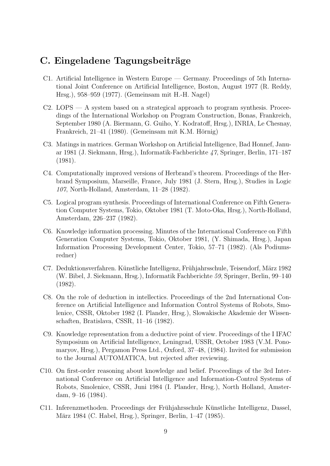#### C. Eingeladene Tagungsbeiträge

- C1. Artificial Intelligence in Western Europe Germany. Proceedings of 5th International Joint Conference on Artificial Intelligence, Boston, August 1977 (R. Reddy, Hrsg.), 958–959 (1977). (Gemeinsam mit H.-H. Nagel)
- C2. LOPS A system based on a strategical approach to program synthesis. Proceedings of the International Workshop on Program Construction, Bonas, Frankreich, September 1980 (A. Biermann, G. Guiho, Y. Kodratoff, Hrsg.), INRIA, Le Chesnay, Frankreich, 21–41 (1980). (Gemeinsam mit K.M. Hörnig)
- C3. Matings in matrices. German Workshop on Artificial Intelligence, Bad Honnef, Januar 1981 (J. Siekmann, Hrsg.), Informatik-Fachberichte 47, Springer, Berlin, 171–187 (1981).
- C4. Computationally improved versions of Herbrand's theorem. Proceedings of the Herbrand Symposium, Marseille, France, July 1981 (J. Stern, Hrsg.), Studies in Logic 107, North-Holland, Amsterdam, 11–28 (1982).
- C5. Logical program synthesis. Proceedings of International Conference on Fifth Generation Computer Systems, Tokio, Oktober 1981 (T. Moto-Oka, Hrsg.), North-Holland, Amsterdam, 226–237 (1982).
- C6. Knowledge information processing. Minutes of the International Conference on Fifth Generation Computer Systems, Tokio, Oktober 1981, (Y. Shimada, Hrsg.), Japan Information Processing Development Center, Tokio, 57–71 (1982). (Als Podiumsredner)
- C7. Deduktionsverfahren. Künstliche Intelligenz, Frühjahrsschule, Teisendorf, März 1982 (W. Bibel, J. Siekmann, Hrsg.), Informatik Fachberichte 59, Springer, Berlin, 99–140 (1982).
- C8. On the role of deduction in intellectics. Proceedings of the 2nd International Conference on Artificial Intelligence and Information Control Systems of Robots, Smolenice, CSSR, Oktober 1982 (I. Plander, Hrsg.), Slowakische Akademie der Wissenschaften, Bratislava, CSSR, 11–16 (1982).
- C9. Knowledge representation from a deductive point of view. Proceedings of the I IFAC Symposium on Artificial Intelligence, Leningrad, USSR, October 1983 (V.M. Ponomaryov, Hrsg.), Pergamon Press Ltd., Oxford, 37–48, (1984). Invited for submission to the Journal AUTOMATICA, but rejected after reviewing.
- C10. On first-order reasoning about knowledge and belief. Proceedings of the 3rd International Conference on Artificial Intelligence and Information-Control Systems of Robots, Smolenice, CSSR, Juni 1984 (I. Plander, Hrsg.), North Holland, Amsterdam, 9–16 (1984).
- C11. Inferenzmethoden. Proceedings der Frühjahrsschule Künstliche Intelligenz, Dassel, März 1984 (C. Habel, Hrsg.), Springer, Berlin, 1–47 (1985).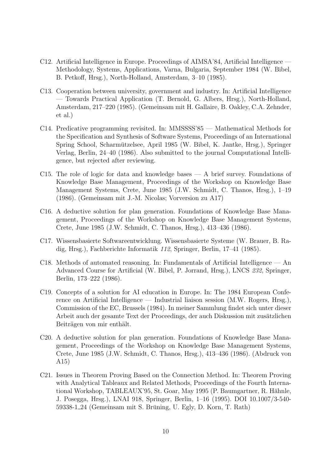- C12. Artificial Intelligence in Europe. Proceedings of AIMSA'84, Artificial Intelligence Methodology, Systems, Applications, Varna, Bulgaria, September 1984 (W. Bibel, B. Petkoff, Hrsg.), North-Holland, Amsterdam, 3–10 (1985).
- C13. Cooperation between university, government and industry. In: Artificial Intelligence — Towards Practical Application (T. Bernold, G. Albers, Hrsg.), North-Holland, Amsterdam, 217–220 (1985). (Gemeinsam mit H. Gallaire, B. Oakley, C.A. Zehnder, et al.)
- C14. Predicative programming revisited. In: MMSSSS'85 Mathematical Methods for the Specification and Synthesis of Software Systems, Proceedings of an International Spring School, Scharmutzelsee, April 1985 (W. Bibel, K. Jantke, Hrsg.), Springer ¨ Verlag, Berlin, 24–40 (1986). Also submitted to the journal Computational Intelligence, but rejected after reviewing.
- C15. The role of logic for data and knowledge bases A brief survey. Foundations of Knowledge Base Management, Proceedings of the Workshop on Knowledge Base Management Systems, Crete, June 1985 (J.W. Schmidt, C. Thanos, Hrsg.), 1–19 (1986). (Gemeinsam mit J.-M. Nicolas; Vorversion zu A17)
- C16. A deductive solution for plan generation. Foundations of Knowledge Base Management, Proceedings of the Workshop on Knowledge Base Management Systems, Crete, June 1985 (J.W. Schmidt, C. Thanos, Hrsg.), 413–436 (1986).
- C17. Wissensbasierte Softwareentwicklung. Wissensbasierte Systeme (W. Brauer, B. Radig, Hrsg.), Fachberichte Informatik 112, Springer, Berlin, 17–41 (1985).
- C18. Methods of automated reasoning. In: Fundamentals of Artificial Intelligence An Advanced Course for Artificial (W. Bibel, P. Jorrand, Hrsg.), LNCS 232, Springer, Berlin, 173–222 (1986).
- C19. Concepts of a solution for AI education in Europe. In: The 1984 European Conference on Artificial Intelligence — Industrial liaison session (M.W. Rogers, Hrsg.), Commission of the EC, Brussels (1984). In meiner Sammlung findet sich unter dieser Arbeit auch der gesamte Text der Proceedings, der auch Diskussion mit zusätzlichen Beiträgen von mir enthält.
- C20. A deductive solution for plan generation. Foundations of Knowledge Base Management, Proceedings of the Workshop on Knowledge Base Management Systems, Crete, June 1985 (J.W. Schmidt, C. Thanos, Hrsg.), 413–436 (1986). (Abdruck von A15)
- C21. Issues in Theorem Proving Based on the Connection Method. In: Theorem Proving with Analytical Tableaux and Related Methods, Proceedings of the Fourth International Workshop, TABLEAUX'95, St. Goar, May 1995 (P. Baumgartner, R. Hähnle, J. Posegga, Hrsg.), LNAI 918, Springer, Berlin, 1–16 (1995). DOI 10.1007/3-540- 59338-1 24 (Gemeinsam mit S. Bruning, U. Egly, D. Korn, T. Rath) ¨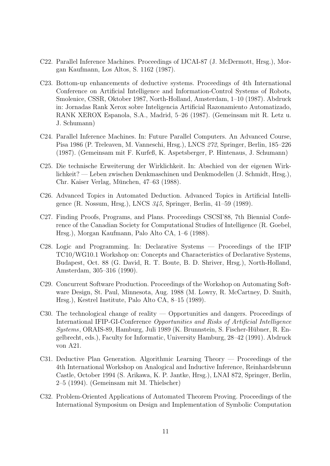- C22. Parallel Inference Machines. Proceedings of IJCAI-87 (J. McDermott, Hrsg.), Morgan Kaufmann, Los Altos, S. 1162 (1987).
- C23. Bottom-up enhancements of deductive systems. Proceedings of 4th International Conference on Artificial Intelligence and Information-Control Systems of Robots, Smolenice, CSSR, Oktober 1987, North-Holland, Amsterdam, 1–10 (1987). Abdruck in: Jornadas Rank Xerox sobre Inteligencia Artificial Razonamiento Automatizado, RANK XEROX Espanola, S.A., Madrid, 5–26 (1987). (Gemeinsam mit R. Letz u. J. Schumann)
- C24. Parallel Inference Machines. In: Future Parallel Computers. An Advanced Course, Pisa 1986 (P. Treleaven, M. Vanneschi, Hrsg.), LNCS 272, Springer, Berlin, 185–226 (1987). (Gemeinsam mit F. Kurfeß, K. Aspetsberger, P. Hintenaus, J. Schumann)
- C25. Die technische Erweiterung der Wirklichkeit. In: Abschied von der eigenen Wirklichkeit? — Leben zwischen Denkmaschinen und Denkmodellen (J. Schmidt, Hrsg.), Chr. Kaiser Verlag, München, 47–63 (1988).
- C26. Advanced Topics in Automated Deduction. Advanced Topics in Artificial Intelligence (R. Nossum, Hrsg.), LNCS 345, Springer, Berlin, 41–59 (1989).
- C27. Finding Proofs, Programs, and Plans. Proceedings CSCSI'88, 7th Biennial Conference of the Canadian Society for Computational Studies of Intelligence (R. Goebel, Hrsg.), Morgan Kaufmann, Palo Alto CA, 1–6 (1988).
- C28. Logic and Programming. In: Declarative Systems Proceedings of the IFIP TC10/WG10.1 Workshop on: Concepts and Characteristics of Declarative Systems, Budapest, Oct. 88 (G. David, R. T. Boute, B. D. Shriver, Hrsg.), North-Holland, Amsterdam, 305–316 (1990).
- C29. Concurrent Software Production. Proceedings of the Workshop on Automating Software Design, St. Paul, Minnesota, Aug. 1988 (M. Lowry, R. McCartney, D. Smith, Hrsg.), Kestrel Institute, Palo Alto CA, 8–15 (1989).
- C30. The technological change of reality Opportunities and dangers. Proceedings of International IFIP-GI-Conference Opportunities and Risks of Artificial Intelligence Systems, ORAIS-89, Hamburg, Juli 1989 (K. Brunnstein, S. Fischer-Hübner, R. Engelbrecht, eds.), Faculty for Informatic, University Hamburg, 28–42 (1991). Abdruck von A21.
- C31. Deductive Plan Generation. Algorithmic Learning Theory Proceedings of the 4th International Workshop on Analogical and Inductive Inference, Reinhardsbrunn Castle, October 1994 (S. Arikawa, K. P. Jantke, Hrsg.), LNAI 872, Springer, Berlin, 2–5 (1994). (Gemeinsam mit M. Thielscher)
- C32. Problem-Oriented Applications of Automated Theorem Proving. Proceedings of the International Symposium on Design and Implementation of Symbolic Computation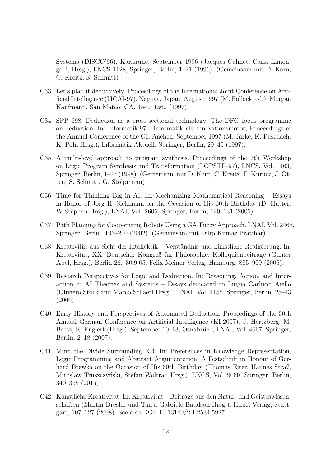Systems (DISCO'96), Karlsruhe, September 1996 (Jacques Calmet, Carla Limongelli, Hrsg.), LNCS 1128, Springer, Berlin, 1–21 (1996). (Gemeinsam mit D. Korn, C. Kreitz, S. Schmitt)

- C33. Let's plan it deductively! Proceedings of the International Joint Conference on Artificial Intelligence (IJCAI-97), Nagoya, Japan, August 1997 (M. Pollack, ed.), Morgan Kaufmann, San Mateo, CA, 1549–1562 (1997).
- C34. SPP 698: Deduction as a cross-sectional technology: The DFG focus programme on deduction. In: Informatik'97 : Informatik als Innovationsmotor; Proceedings of the Annual Conference of the GI, Aachen, September 1997 (M. Jarke, K. Pasedach, K. Pohl Hrsg.), Informatik Aktuell, Springer, Berlin, 29–40 (1997).
- C35. A multi-level approach to program synthesis. Proceedings of the 7th Workshop on Logic Program Synthesis and Transformation (LOPSTR-97), LNCS, Vol. 1463, Springer, Berlin, 1–27 (1998). (Gemeinsam mit D. Korn, C. Kreitz, F. Kurucz, J. Otten, S. Schmitt, G. Stolpmann)
- C36. Time for Thinking Big in AI. In: Mechanizing Mathematical Reasoning Essays in Honor of Jörg H. Siekmann on the Occasion of His 60th Birthday (D. Hutter, W.Stephan Hrsg.), LNAI, Vol. 2605, Springer, Berlin, 120–131 (2005).
- C37. Path Planning for Cooperating Robots Using a GA-Fuzzy Approach. LNAI, Vol. 2466, Springer, Berlin, 193–210 (2002). (Gemeinsam mit Dilip Kumar Pratihar)
- C38. Kreativität aus Sicht der Intellektik Verständnis und künstliche Realisierung. In: Kreativität, XX. Deutscher Kongreß für Philosophie, Kolloquienbeiträge (Günter Abel, Hrsg.), Berlin 26.–30.9.05, Felix Meiner Verlag, Hamburg, 885–909 (2006).
- C39. Research Perspectives for Logic and Deduction. In: Reasoning, Action, and Interaction in AI Theories and Systems – Essays dedicated to Luigia Carlucci Aiello (Oliviero Stock and Marco Schaerf Hrsg.), LNAI, Vol. 4155, Springer, Berlin, 25–43 (2006).
- C40. Early History and Perspectives of Automated Deduction. Proceedings of the 30th Annual German Conference on Artificial Intelligence (KI-2007), J. Hertzberg, M. Beetz, R. Englert (Hrsg.), September 10–13, Osnabrück, LNAI, Vol. 4667, Springer, Berlin, 2–18 (2007).
- C41. Mind the Divide Surrounding KR. In: Preferences in Knowledge Representation, Logic Programming and Abstract Argumentation. A Festschrift in Honour of Gerhard Brewka on the Occasion of His 60th Birthday (Thomas Eiter, Hannes Straß, Miroslaw Truszczyński, Stefan Woltran Hrsg.), LNCS, Vol. 9060, Springer, Berlin, 340–355 (2015).
- C42. Künstliche Kreativität. In: Kreativität Beiträge aus den Natur- und Geisteswissenschaften (Martin Dresler und Tanja Gabriele Baudson Hrsg.), Hirzel Verlag, Stuttgart, 107–127 (2008). See also DOI: 10.13140/2.1.2534.5927.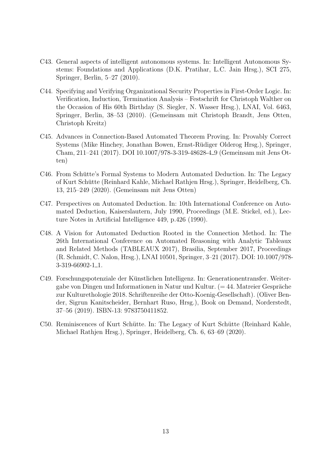- C43. General aspects of intelligent autonomous systems. In: Intelligent Autonomous Systems: Foundations and Applications (D.K. Pratihar, L.C. Jain Hrsg.), SCI 275, Springer, Berlin, 5–27 (2010).
- C44. Specifying and Verifying Organizational Security Properties in First-Order Logic. In: Verification, Induction, Termination Analysis – Festschrift for Christoph Walther on the Occasion of His 60th Birthday (S. Siegler, N. Wasser Hrsg.), LNAI, Vol. 6463, Springer, Berlin, 38–53 (2010). (Gemeinsam mit Christoph Brandt, Jens Otten, Christoph Kreitz)
- C45. Advances in Connection-Based Automated Theorem Proving. In: Provably Correct Systems (Mike Hinchey, Jonathan Bowen, Ernst-Rüdiger Olderog Hrsg.), Springer, Cham, 211–241 (2017). DOI 10.1007/978-3-319-48628-4 9 (Gemeinsam mit Jens Otten)
- C46. From Schütte's Formal Systems to Modern Automated Deduction. In: The Legacy of Kurt Schutte (Reinhard Kahle, Michael Rathjen Hrsg.), Springer, Heidelberg, Ch. ¨ 13, 215–249 (2020). (Gemeinsam mit Jens Otten)
- C47. Perspectives on Automated Deduction. In: 10th International Conference on Automated Deduction, Kaiserslautern, July 1990, Proceedings (M.E. Stickel, ed.), Lecture Notes in Artificial Intelligence 449, p.426 (1990).
- C48. A Vision for Automated Deduction Rooted in the Connection Method. In: The 26th International Conference on Automated Reasoning with Analytic Tableaux and Related Methods (TABLEAUX 2017), Brasilia, September 2017, Proceedings (R. Schmidt, C. Nalon, Hrsg.), LNAI 10501, Springer, 3–21 (2017). DOI: 10.1007/978- 3-319-66902-1 1.
- C49. Forschungspotenziale der Kunstlichen Intelligenz. In: Generationentransfer. Weiter- ¨ gabe von Dingen und Informationen in Natur und Kultur.  $(=44. \text{ Matreier Gespräche})$ zur Kulturethologie 2018. Schriftenreihe der Otto-Koenig-Gesellschaft). (Oliver Bender, Sigrun Kanitscheider, Bernhart Ruso, Hrsg.), Book on Demand, Norderstedt, 37–56 (2019). ISBN-13: 9783750411852.
- C50. Reminiscences of Kurt Schütte. In: The Legacy of Kurt Schütte (Reinhard Kahle, Michael Rathjen Hrsg.), Springer, Heidelberg, Ch. 6, 63–69 (2020).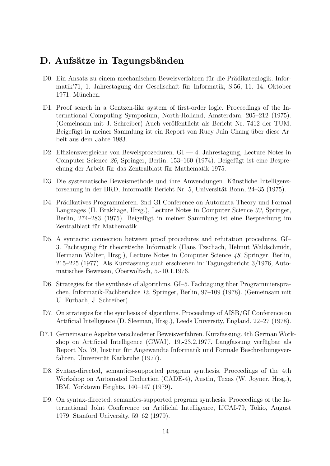### D. Aufsätze in Tagungsbänden

- D0. Ein Ansatz zu einem mechanischen Beweisverfahren für die Prädikatenlogik. Informatik'71, 1. Jahrestagung der Gesellschaft fur Informatik, S.56, 11.–14. Oktober ¨ 1971, München.
- D1. Proof search in a Gentzen-like system of first-order logic. Proceedings of the International Computing Symposium, North-Holland, Amsterdam, 205–212 (1975). (Gemeinsam mit J. Schreiber) Auch veröffentlicht als Bericht Nr. 7412 der TUM. Beigefügt in meiner Sammlung ist ein Report von Ruey-Juin Chang über diese Arbeit aus dem Jahre 1983.
- D2. Effizienzvergleiche von Beweisprozeduren. GI 4. Jahrestagung, Lecture Notes in Computer Science 26, Springer, Berlin, 153–160 (1974). Beigefugt ist eine Bespre- ¨ chung der Arbeit für das Zentralblatt für Mathematik 1975.
- D3. Die systematische Beweismethode und ihre Anwendungen. Künstliche Intelligenzforschung in der BRD, Informatik Bericht Nr. 5, Universität Bonn, 24–35 (1975).
- D4. Prädikatives Programmieren. 2nd GI Conference on Automata Theory und Formal Languages (H. Brakhage, Hrsg.), Lecture Notes in Computer Science 33, Springer, Berlin, 274–283 (1975). Beigefügt in meiner Sammlung ist eine Besprechung im Zentralblatt für Mathematik.
- D5. A syntactic connection between proof procedures and refutation procedures. GI– 3. Fachtagung für theoretische Informatik (Hans Tzschach, Helmut Waldschmidt, Hermann Walter, Hrsg.), Lecture Notes in Computer Science 48, Springer, Berlin, 215–225 (1977). Als Kurzfassung auch erschienen in: Tagungsbericht 3/1976, Automatisches Beweisen, Oberwolfach, 5.-10.1.1976.
- D6. Strategies for the synthesis of algorithms. GI–5. Fachtagung über Programmiersprachen, Informatik-Fachberichte 12, Springer, Berlin, 97–109 (1978). (Gemeinsam mit U. Furbach, J. Schreiber)
- D7. On strategies for the synthesis of algorithms. Proceedings of AISB/GI Conference on Artificial Intelligence (D. Sleeman, Hrsg.), Leeds University, England, 22–27 (1978).
- D7.1 Gemeinsame Aspekte verschiedener Beweisverfahren. Kurzfassung. 4th German Workshop on Artificial Intelligence  $(GWAI)$ , 19.-23.2.1977. Langfassung verfügbar als Report No. 79, Institut für Angewandte Informatik und Formale Beschreibungsverfahren, Universität Karlsruhe (1977).
- D8. Syntax-directed, semantics-supported program synthesis. Proceedings of the 4th Workshop on Automated Deduction (CADE-4), Austin, Texas (W. Joyner, Hrsg.), IBM, Yorktown Heights, 140–147 (1979).
- D9. On syntax-directed, semantics-supported program synthesis. Proceedings of the International Joint Conference on Artificial Intelligence, IJCAI-79, Tokio, August 1979, Stanford University, 59–62 (1979).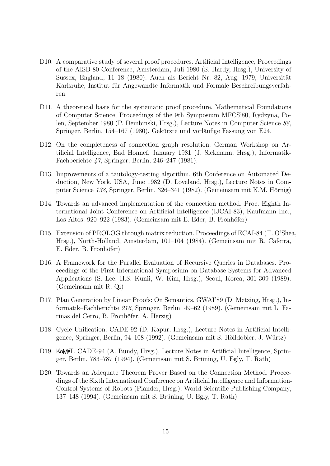- D10. A comparative study of several proof procedures. Artificial Intelligence, Proceedings of the AISB-80 Conference, Amsterdam, Juli 1980 (S. Hardy, Hrsg.), University of Sussex, England, 11–18 (1980). Auch als Bericht Nr. 82, Aug. 1979, Universität Karlsruhe, Institut fur Angewandte Informatik und Formale Beschreibungsverfah- ¨ ren.
- D11. A theoretical basis for the systematic proof procedure. Mathematical Foundations of Computer Science, Proceedings of the 9th Symposium MFCS'80, Rydzyna, Polen, September 1980 (P. Dembinski, Hrsg.), Lecture Notes in Computer Science 88, Springer, Berlin, 154–167 (1980). Gekürzte und vorläufige Fassung von E24.
- D12. On the completeness of connection graph resolution. German Workshop on Artificial Intelligence, Bad Honnef, January 1981 (J. Siekmann, Hrsg.), Informatik-Fachberichte 47, Springer, Berlin, 246–247 (1981).
- D13. Improvements of a tautology-testing algorithm. 6th Conference on Automated Deduction, New York, USA, June 1982 (D. Loveland, Hrsg.), Lecture Notes in Computer Science 138, Springer, Berlin, 326–341 (1982). (Gemeinsam mit K.M. Hörnig)
- D14. Towards an advanced implementation of the connection method. Proc. Eighth International Joint Conference on Artificial Intelligence (IJCAI-83), Kaufmann Inc., Los Altos, 920–922 (1983). (Gemeinsam mit E. Eder, B. Fronhöfer)
- D15. Extension of PROLOG through matrix reduction. Proceedings of ECAI-84 (T. O'Shea, Hrsg.), North-Holland, Amsterdam, 101–104 (1984). (Gemeinsam mit R. Caferra, E. Eder, B. Fronhöfer)
- D16. A Framework for the Parallel Evaluation of Recursive Queries in Databases. Proceedings of the First International Symposium on Database Systems for Advanced Applications (S. Lee, H.S. Kunii, W. Kim, Hrsg.), Seoul, Korea, 301-309 (1989). (Gemeinsam mit R. Qi)
- D17. Plan Generation by Linear Proofs: On Semantics. GWAI'89 (D. Metzing, Hrsg.), Informatik–Fachberichte 216, Springer, Berlin, 49–62 (1989). (Gemeinsam mit L. Farinas del Cerro, B. Fronhöfer, A. Herzig)
- D18. Cycle Unification. CADE-92 (D. Kapur, Hrsg.), Lecture Notes in Artificial Intelligence, Springer, Berlin, 94–108 (1992). (Gemeinsam mit S. Hölldobler, J. Würtz)
- D19. KoMeT. CADE-94 (A. Bundy, Hrsg.), Lecture Notes in Artificial Intelligence, Springer, Berlin, 783–787 (1994). (Gemeinsam mit S. Brüning, U. Egly, T. Rath)
- D20. Towards an Adequate Theorem Prover Based on the Connection Method. Proceedings of the Sixth International Conference on Artificial Intelligence and Information-Control Systems of Robots (Plander, Hrsg.), World Scientific Publishing Company, 137–148 (1994). (Gemeinsam mit S. Bruning, U. Egly, T. Rath) ¨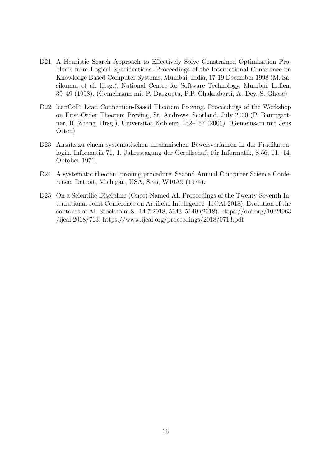- D21. A Heuristic Search Approach to Effectively Solve Constrained Optimization Problems from Logical Specifications. Proceedings of the International Conference on Knowledge Based Computer Systems, Mumbai, India, 17-19 December 1998 (M. Sasikumar et al. Hrsg.), National Centre for Software Technology, Mumbai, Indien, 39–49 (1998). (Gemeinsam mit P. Dasgupta, P.P. Chakrabarti, A. Dey, S. Ghose)
- D22. leanCoP: Lean Connection-Based Theorem Proving. Proceedings of the Workshop on First-Order Theorem Proving, St. Andrews, Scotland, July 2000 (P. Baumgartner, H. Zhang, Hrsg.), Universität Koblenz, 152–157 (2000). (Gemeinsam mit Jens Otten)
- D23. Ansatz zu einem systematischen mechanischen Beweisverfahren in der Prädikatenlogik. Informatik 71, 1. Jahrestagung der Gesellschaft für Informatik, S.56, 11.–14. Oktober 1971.
- D24. A systematic theorem proving procedure. Second Annual Computer Science Conference, Detroit, Michigan, USA, S.45, W10A9 (1974).
- D25. On a Scientific Discipline (Once) Named AI. Proceedings of the Twenty-Seventh International Joint Conference on Artificial Intelligence (IJCAI 2018). Evolution of the contours of AI. Stockholm 8.–14.7.2018, 5143–5149 (2018). https://doi.org/10.24963 /ijcai.2018/713. https://www.ijcai.org/proceedings/2018/0713.pdf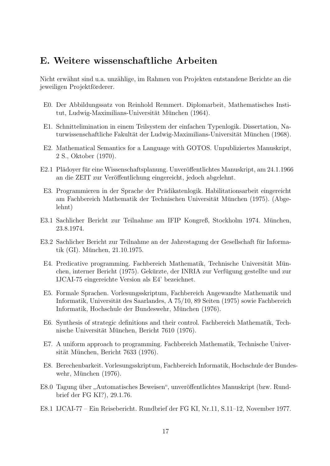# E. Weitere wissenschaftliche Arbeiten

Nicht erwähnt sind u.a. unzählige, im Rahmen von Projekten entstandene Berichte an die jeweiligen Projektförderer.

- E0. Der Abbildungssatz von Reinhold Remmert. Diplomarbeit, Mathematisches Institut, Ludwig-Maximilians-Universität München (1964).
- E1. Schnittelimination in einem Teilsystem der einfachen Typenlogik. Dissertation, Naturwissenschaftliche Fakultät der Ludwig-Maximilians-Universität München (1968).
- E2. Mathematical Semantics for a Language with GOTOS. Unpubliziertes Manuskript, 2 S., Oktober (1970).
- E2.1 Plädoyer für eine Wissenschaftsplanung. Unveröffentlichtes Manuskript, am 24.1.1966 an die ZEIT zur Veröffentlichung eingereicht, jedoch abgelehnt.
- E3. Programmieren in der Sprache der Prädikatenlogik. Habilitationsarbeit eingereicht am Fachbereich Mathematik der Technischen Universität München (1975). (Abgelehnt)
- E3.1 Sachlicher Bericht zur Teilnahme am IFIP Kongreß, Stockholm 1974. München, 23.8.1974.
- E3.2 Sachlicher Bericht zur Teilnahme an der Jahrestagung der Gesellschaft für Informatik  $(GI)$ . München, 21.10.1975.
- E4. Predicative programming. Fachbereich Mathematik, Technische Universität München, interner Bericht (1975). Gekürzte, der INRIA zur Verfügung gestellte und zur IJCAI-75 eingereichte Version als E4' bezeichnet.
- E5. Formale Sprachen. Vorlesungsskriptum, Fachbereich Angewandte Mathematik und Informatik, Universität des Saarlandes, A 75/10, 89 Seiten (1975) sowie Fachbereich Informatik, Hochschule der Bundeswehr, München (1976).
- E6. Synthesis of strategic definitions and their control. Fachbereich Mathematik, Technische Universität München, Bericht 7610 (1976).
- E7. A uniform approach to programming. Fachbereich Mathematik, Technische Universität München, Bericht 7633 (1976).
- E8. Berechenbarkeit. Vorlesungsskriptum, Fachbereich Informatik, Hochschule der Bundeswehr, München (1976).
- E8.0 Tagung über "Automatisches Beweisen", unveröffentlichtes Manuskript (bzw. Rund-" brief der FG KI?), 29.1.76.
- E8.1 IJCAI-77 Ein Reisebericht. Rundbrief der FG KI, Nr.11, S.11–12, November 1977.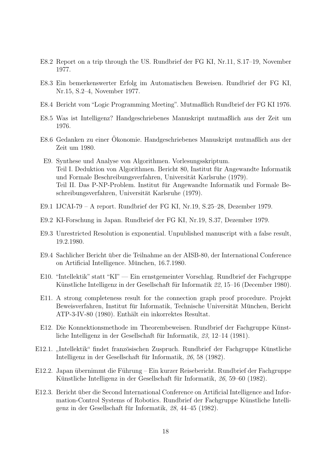- E8.2 Report on a trip through the US. Rundbrief der FG KI, Nr.11, S.17–19, November 1977.
- E8.3 Ein bemerkenswerter Erfolg im Automatischen Beweisen. Rundbrief der FG KI, Nr.15, S.2–4, November 1977.
- E8.4 Bericht vom "Logic Programming Meeting". Mutmaßlich Rundbrief der FG KI 1976.
- E8.5 Was ist Intelligenz? Handgeschriebenes Manuskript mutmaßlich aus der Zeit um 1976.
- E8.6 Gedanken zu einer Ökonomie. Handgeschriebenes Manuskript mutmaßlich aus der Zeit um 1980.
- E9. Synthese und Analyse von Algorithmen. Vorlesungsskriptum. Teil I. Deduktion von Algorithmen. Bericht 80, Institut fur Angewandte Informatik ¨ und Formale Beschreibungsverfahren, Universität Karlsruhe (1979). Teil II. Das P-NP-Problem. Institut für Angewandte Informatik und Formale Beschreibungsverfahren, Universität Karlsruhe (1979).
- E9.1 IJCAI-79 A report. Rundbrief der FG KI, Nr.19, S.25–28, Dezember 1979.
- E9.2 KI-Forschung in Japan. Rundbrief der FG KI, Nr.19, S.37, Dezember 1979.
- E9.3 Unrestricted Resolution is exponential. Unpublished manuscript with a false result, 19.2.1980.
- E9.4 Sachlicher Bericht über die Teilnahme an der AISB-80, der International Conference on Artificial Intelligence. München, 16.7.1980.
- E10. "Intellektik" statt "KI" Ein ernstgemeinter Vorschlag. Rundbrief der Fachgruppe Künstliche Intelligenz in der Gesellschaft für Informatik 22, 15–16 (December 1980).
- E11. A strong completeness result for the connection graph proof procedure. Projekt Beweisverfahren, Institut für Informatik, Technische Universität München, Bericht ATP-3-IV-80 (1980). Enthält ein inkorrektes Resultat.
- E12. Die Konnektionsmethode im Theorembeweisen. Rundbrief der Fachgruppe Künstliche Intelligenz in der Gesellschaft für Informatik,  $23$ , 12–14 (1981).
- E12.1. "Intellektik" findet französischen Zuspruch. Rundbrief der Fachgruppe Künstliche Intelligenz in der Gesellschaft für Informatik, 26, 58 (1982).
- E12.2. Japan übernimmt die Führung Ein kurzer Reisebericht. Rundbrief der Fachgruppe Künstliche Intelligenz in der Gesellschaft für Informatik,  $26, 59-60$  (1982).
- E12.3. Bericht über die Second International Conference on Artificial Intelligence and Information-Control Systems of Robotics. Rundbrief der Fachgruppe Künstliche Intelligenz in der Gesellschaft für Informatik,  $28$ ,  $44-45$  (1982).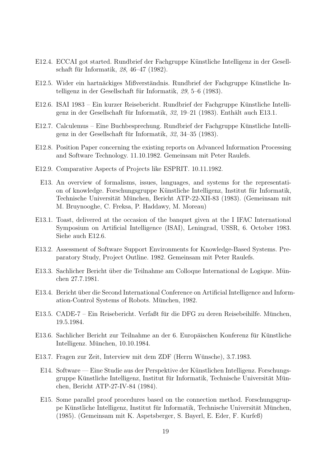- E12.4. ECCAI got started. Rundbrief der Fachgruppe Künstliche Intelligenz in der Gesellschaft für Informatik,  $28, 46-47$  (1982).
- E12.5. Wider ein hartnäckiges Mißverständnis. Rundbrief der Fachgruppe Künstliche Intelligenz in der Gesellschaft für Informatik,  $29, 5-6$  (1983).
- E12.6. ISAI 1983 Ein kurzer Reisebericht. Rundbrief der Fachgruppe Künstliche Intelligenz in der Gesellschaft für Informatik,  $32, 19-21$  (1983). Enthält auch E13.1.
- E12.7. Calculemus Eine Buchbesprechung. Rundbrief der Fachgruppe Künstliche Intelligenz in der Gesellschaft für Informatik,  $32, 34-35$  (1983).
- E12.8. Position Paper concerning the existing reports on Advanced Information Processing and Software Technology. 11.10.1982. Gemeinsam mit Peter Raulefs.
- E12.9. Comparative Aspects of Projects like ESPRIT. 10.11.1982.
	- E13. An overview of formalisms, issues, languages, and systems for the representation of knowledge. Forschungsgruppe Künstliche Intelligenz, Institut für Informatik, Technische Universität München, Bericht ATP-22-XII-83 (1983). (Gemeinsam mit M. Bruynooghe, C. Freksa, P. Haddawy, M. Moreau)
- E13.1. Toast, delivered at the occasion of the banquet given at the I IFAC International Symposium on Artificial Intelligence (ISAI), Leningrad, USSR, 6. October 1983. Siehe auch E12.6.
- E13.2. Assessment of Software Support Environments for Knowledge-Based Systems. Preparatory Study, Project Outline. 1982. Gemeinsam mit Peter Raulefs.
- E13.3. Sachlicher Bericht über die Teilnahme am Colloque International de Logique. München 27.7.1981.
- E13.4. Bericht über die Second International Conference on Artificial Intelligence and Information-Control Systems of Robots. München, 1982.
- E13.5. CADE-7 Ein Reisebericht. Verfaßt für die DFG zu deren Reisebeihilfe. München, 19.5.1984.
- E13.6. Sachlicher Bericht zur Teilnahme an der 6. Europäischen Konferenz für Künstliche Intelligenz. München, 10.10.1984.
- E13.7. Fragen zur Zeit, Interview mit dem ZDF (Herrn Wunsche), 3.7.1983. ¨
	- E14. Software Eine Studie aus der Perspektive der Künstlichen Intelligenz. Forschungsgruppe Künstliche Intelligenz, Institut für Informatik, Technische Universität München, Bericht ATP-27-IV-84 (1984).
	- E15. Some parallel proof procedures based on the connection method. Forschungsgruppe Künstliche Intelligenz, Institut für Informatik, Technische Universität München, (1985). (Gemeinsam mit K. Aspetsberger, S. Bayerl, E. Eder, F. Kurfeß)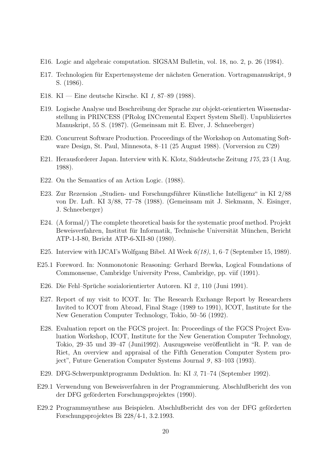- E16. Logic and algebraic computation. SIGSAM Bulletin, vol. 18, no. 2, p. 26 (1984).
- E17. Technologien für Expertensysteme der nächsten Generation. Vortragsmanuskript, 9 S. (1986).
- E18. KI Eine deutsche Kirsche. KI 1, 87–89 (1988).
- E19. Logische Analyse und Beschreibung der Sprache zur objekt-orientierten Wissensdarstellung in PRINCESS (PRolog INCremental Expert System Shell). Unpubliziertes Manuskript, 55 S. (1987). (Gemeinsam mit E. Elver, J. Schneeberger)
- E20. Concurrent Software Production. Proceedings of the Workshop on Automating Software Design, St. Paul, Minnesota, 8–11 (25 August 1988). (Vorversion zu C29)
- E21. Herausforderer Japan. Interview with K. Klotz, Süddeutsche Zeitung  $175$ , 23 (1 Aug. 1988).
- E22. On the Semantics of an Action Logic. (1988).
- E23. Zur Rezension "Studien- und Forschungsführer Künstliche Intelligenz" in KI 2/88<br>
ster Dr. Luft, KL 2/88, 77, 78 (1988), (Gausineans mit J. Sielmanns, N. Fisineans von Dr. Luft. KI 3/88, 77–78 (1988). (Gemeinsam mit J. Siekmann, N. Eisinger, J. Schneeberger)
- E24. (A formal/) The complete theoretical basis for the systematic proof method. Projekt Beweisverfahren, Institut für Informatik, Technische Universität München, Bericht ATP-1-I-80, Bericht ATP-6-XII-80 (1980).
- E25. Interview with IJCAI's Wolfgang Bibel. AI Week  $6(18)$ , 1, 6–7 (September 15, 1989).
- E25.1 Foreword. In: Nonmonotonic Reasoning: Gerhard Brewka, Logical Foundations of Commonsense, Cambridge University Press, Cambridge, pp. viif (1991).
- E26. Die Fehl-Sprüche sozialorientierter Autoren. KI 2, 110 (Juni 1991).
- E27. Report of my visit to ICOT. In: The Research Exchange Report by Researchers Invited to ICOT from Abroad, Final Stage (1989 to 1991), ICOT, Institute for the New Generation Computer Technology, Tokio, 50–56 (1992).
- E28. Evaluation report on the FGCS project. In: Proceedings of the FGCS Project Evaluation Workshop, ICOT, Institute for the New Generation Computer Technology, Tokio, 29–35 und 39–47 (Juni1992). Auszugsweise veröffentlicht in "R. P. van de Riet, An overview and appraisal of the Fifth Generation Computer System project", Future Generation Computer Systems Journal 9, 83–103 (1993).
- E29. DFG-Schwerpunktprogramm Deduktion. In: KI 3, 71–74 (September 1992).
- E29.1 Verwendung von Beweisverfahren in der Programmierung. Abschlußbericht des von der DFG geförderten Forschungsprojektes (1990).
- E29.2 Programmsynthese aus Beispielen. Abschlußbericht des von der DFG geförderten Forschungsprojektes Bi 228/4-1, 3.2.1993.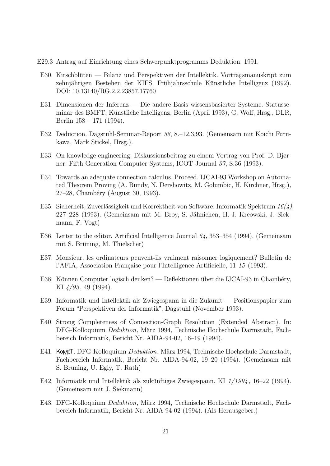- E29.3 Antrag auf Einrichtung eines Schwerpunktprogramms Deduktion. 1991.
- E30. Kirschbluten Bilanz und Perspektiven der Intellektik. Vortragsmanuskript zum ¨ zehnjährigen Bestehen der KIFS, Frühjahrsschule Künstliche Intelligenz (1992). DOI: 10.13140/RG.2.2.23857.17760
- E31. Dimensionen der Inferenz Die andere Basis wissensbasierter Systeme. Statusseminar des BMFT, Künstliche Intelligenz, Berlin (April 1993), G. Wolf, Hrsg., DLR, Berlin 158 – 171 (1994).
- E32. Deduction. Dagstuhl-Seminar-Report 58, 8.–12.3.93. (Gemeinsam mit Koichi Furukawa, Mark Stickel, Hrsg.).
- E33. On knowledge engineering. Diskussionsbeitrag zu einem Vortrag von Prof. D. Bjørner. Fifth Generation Computer Systems, ICOT Journal 37, S.36 (1993).
- E34. Towards an adequate connection calculus. Proceed. IJCAI-93 Workshop on Automated Theorem Proving (A. Bundy, N. Dershowitz, M. Golumbic, H. Kirchner, Hrsg.), 27–28, Chambéry (August 30, 1993).
- E35. Sicherheit, Zuverlässigkeit und Korrektheit von Software. Informatik Spektrum  $16(4)$ , 227–228 (1993). (Gemeinsam mit M. Broy, S. Jähnichen, H.-J. Kreowski, J. Siekmann, F. Vogt)
- E36. Letter to the editor. Artificial Intelligence Journal 64, 353–354 (1994). (Gemeinsam mit S. Brüning, M. Thielscher)
- E37. Monsieur, les ordinateurs peuvent-ils vraiment raisonner logiquement? Bulletin de l'AFIA, Association Française pour l'Intelligence Artificielle, 11 15 (1993).
- E38. Können Computer logisch denken? Reflektionen über die IJCAI-93 in Chambéry, KI 4/93 , 49 (1994).
- E39. Informatik und Intellektik als Zwiegespann in die Zukunft Positionspapier zum Forum "Perspektiven der Informatik", Dagstuhl (November 1993).
- E40. Strong Completeness of Connection-Graph Resolution (Extended Abstract). In: DFG-Kolloquium *Deduktion*, März 1994, Technische Hochschule Darmstadt, Fachbereich Informatik, Bericht Nr. AIDA-94-02, 16–19 (1994).
- E41. KoMeT. DFG-Kolloquium *Deduktion*, März 1994, Technische Hochschule Darmstadt, Fachbereich Informatik, Bericht Nr. AIDA-94-02, 19–20 (1994). (Gemeinsam mit S. Brüning, U. Egly, T. Rath)
- E42. Informatik und Intellektik als zukünftiges Zwiegespann. KI  $1/1994$ , 16–22 (1994). (Gemeinsam mit J. Siekmann)
- E43. DFG-Kolloquium Deduktion, März 1994, Technische Hochschule Darmstadt, Fachbereich Informatik, Bericht Nr. AIDA-94-02 (1994). (Als Herausgeber.)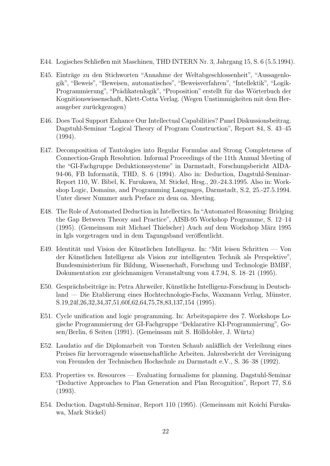- E44. Logisches Schließen mit Maschinen, THD INTERN Nr. 3, Jahrgang 15, S. 6 (5.5.1994).
- E45. Einträge zu den Stichworten "Annahme der Weltabgeschlossenheit", "Aussagenlogik", "Beweis", "Beweisen, automatisches", "Beweisverfahren", "Intellektik", "Logik-Programmierung", "Prädikatenlogik", "Proposition" erstellt für das Wörterbuch der Kognitionswissenschaft, Klett-Cotta Verlag. (Wegen Unstimmigkeiten mit dem Herausgeber zurückgezogen)
- E46. Does Tool Support Enhance Our Intellectual Capabilities? Panel Diskussionsbeitrag. Dagstuhl-Seminar "Logical Theory of Program Construction", Report 84, S. 43–45 (1994).
- E47. Decomposition of Tautologies into Regular Formulas and Strong Completeness of Connection-Graph Resolution. Informal Proceedings of the 11th Annual Meeting of the "GI-Fachgruppe Deduktionssysteme" in Darmstadt, Forschungsbericht AIDA-94-06, FB Informatik, THD, S. 6 (1994). Also in: Deduction, Dagstuhl-Seminar-Report 110, W. Bibel, K. Furukawa, M. Stickel, Hrsg., 20.-24.3.1995. Also in: Workshop Logic, Domains, and Programming Languages, Darmstadt, S.2, 25.-27.5.1994. Unter dieser Nummer auch Preface zu dem oa. Meeting.
- E48. The Role of Automated Deduction in Intellectics. In"Automated Reasoning: Bridging the Gap Between Theory and Practice", AISB-95 Workshop Programme, S. 12–14 (1995). (Gemeinsam mit Michael Thielscher) Auch auf dem Workshop März 1995 in Igls vorgetragen und in dem Tagungsband veröffentlicht.
- E49. Identität und Vision der Künstlichen Intelligenz. In: "Mit leisen Schritten Von der Künstlichen Intelligenz als Vision zur intelligenten Technik als Perspektive", Bundesministerium für Bildung, Wissenschaft, Forschung und Technologie BMBF, Dokumentation zur gleichnamigen Veranstaltung vom 4.7.94, S. 18–21 (1995).
- E50. Gesprächsbeiträge in: Petra Ahrweiler, Künstliche Intelligenz-Forschung in Deutschland — Die Etablierung eines Hochtechnologie-Fachs, Waxmann Verlag, Münster, S.19,24f,26,32,34,37,51,60f,62,64,75,78,83,137,154 (1995).
- E51. Cycle unification and logic programming. In: Arbeitspapiere des 7. Workshops Logische Programmierung der GI-Fachgruppe "Deklarative KI-Programmierung", Go- $\frac{\text{sen}}{\text{Berlin}}$ , 6 Seiten (1991). (Gemeinsam mit S. Hölldobler, J. Würtz)
- E52. Laudatio auf die Diplomarbeit von Torsten Schaub anläßlich der Verleihung eines Preises für hervorragende wissenschaftliche Arbeiten. Jahresbericht der Vereinigung von Freunden der Technischen Hochschule zu Darmstadt e.V., S. 36–38 (1992).
- E53. Properties vs. Resources Evaluating formalisms for planning. Dagstuhl-Seminar "Deductive Approaches to Plan Generation and Plan Recognition", Report 77, S.6 (1993).
- E54. Deduction. Dagstuhl-Seminar, Report 110 (1995). (Gemeinsam mit Koichi Furukawa, Mark Stickel)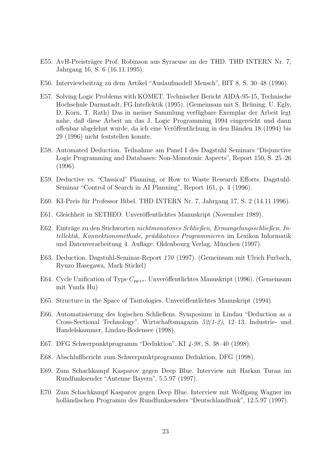- E55. AvH-Preisträger Prof. Robinson aus Syracuse an der THD. THD INTERN Nr. 7, Jahrgang 16, S. 6 (16.11.1995).
- E56. Interviewbeitrag zu dem Artikel "Auslaufmodell Mensch", BIT 8, S. 30–48 (1996).
- E57. Solving Logic Problems with KOMET. Technischer Bericht AIDA-95-15, Technische Hochschule Darmstadt, FG Intellektik (1995). (Gemeinsam mit S. Brüning, U. Egly, D. Korn, T. Rath) Das in meiner Sammlung verfügbare Exemplar der Arbeit legt nahe, daß diese Arbeit an das J. Logic Programming 1994 eingereicht und dann offenbar abgelehnt wurde, da ich eine Veröffentlichung in den Bänden 18 (1994) bis 29 (1996) nicht feststellen konnte.
- E58. Automated Deduction. Teilnahme am Panel I des Dagstuhl Seminars "Disjunctive Logic Programming and Databases: Non-Monotonic Aspects", Report 150, S. 25–26 (1996).
- E59. Deductive vs. "Classical" Planning, or How to Waste Research Efforts. Dagstuhl-Seminar "Control of Search in AI Planning", Report 161, p. 4 (1996).
- E60. KI-Preis für Professor Bibel. THD INTERN Nr. 7, Jahrgang 17, S. 2 (14.11.1996).
- E61. Gleichheit in SETHEO. Unveröffentlichtes Manuskript (November 1989).
- E62. Einträge zu den Stichworten *nichtmonotones Schließen, Ermangelungsschließen, In*tellektik, Konnektionsmethode, prädikatives Programmieren im Lexikon Informatik und Datenverarbeitung 4. Auflage. Oldenbourg Verlag, München (1997).
- E63. Deduction. Dagstuhl-Seminar-Report 170 (1997). (Gemeinsam mit Ulrich Furbach, Ryuzo Hasegawa, Mark Stickel)
- E64. Cycle Unification of Type  $C_{pq+r}$ . Unveröffentlichtes Manuskript (1996). (Gemeinsam mit Yunfa Hu)
- E65. Structure in the Space of Tautologies. Unveröffentlichtes Manuskript (1994).
- E66. Automatisierung des logischen Schließens. Symposium in Lindau "Deduction as a Cross-Sectional Technology". Wirtschaftsmagazin 52(1-2), 12–13, Industrie- und Handelskammer, Lindau-Bodensee (1998).
- E67. DFG Schwerpunktprogramm "Deduktion". KI 4-98, S. 38-40 (1998).
- E68. Abschlußbericht zum Schwerpunktprogramm Deduktion, DFG (1998).
- E69. Zum Schachkampf Kasparov gegen Deep Blue. Interview mit Harkan Turan im Rundfunksender "Antenne Bayern", 5.5.97 (1997).
- E70. Zum Schachkampf Kasparov gegen Deep Blue. Interview mit Wolfgang Wagner im holländischen Programm des Rundfunksenders "Deutschlandfunk", 12.5.97 (1997).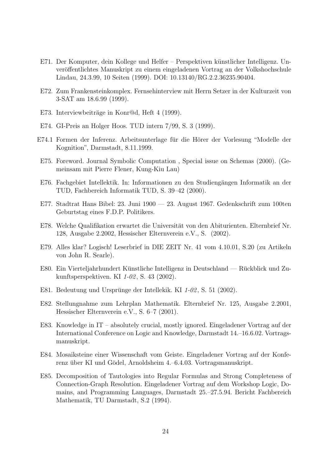- E71. Der Komputer, dein Kollege und Helfer Perspektiven künstlicher Intelligenz. Unveröffentlichtes Manuskript zu einem eingeladenen Vortrag an der Volkshochschule Lindau, 24.3.99, 10 Seiten (1999). DOI: 10.13140/RG.2.2.36235.90404.
- E72. Zum Frankensteinkomplex. Fernsehinterview mit Herrn Setzer in der Kulturzeit von 3-SAT am 18.6.99 (1999).
- E73. Interviewbeiträge in Konr $\mathcal Q_d$ , Heft 4 (1999).
- E74. GI-Preis an Holger Hoos. TUD intern 7/99, S. 3 (1999).
- E74.1 Formen der Inferenz. Arbeitsunterlage für die Hörer der Vorlesung "Modelle der Kognition", Darmstadt, 8.11.1999.
- E75. Foreword. Journal Symbolic Computation , Special issue on Schemas (2000). (Gemeinsam mit Pierre Flener, Kung-Kiu Lau)
- E76. Fachgebiet Intellektik. In: Informationen zu den Studiengängen Informatik an der TUD, Fachbereich Informatik TUD, S. 39–42 (2000).
- E77. Stadtrat Hans Bibel: 23. Juni 1900 23. August 1967. Gedenkschrift zum 100ten Geburtstag eines F.D.P. Politikers.
- E78. Welche Qualifikation erwartet die Universität von den Abiturienten. Elternbrief Nr. 128, Ausgabe 2.2002, Hessischer Elternverein e.V., S. (2002).
- E79. Alles klar? Logisch! Leserbrief in DIE ZEIT Nr. 41 vom 4.10.01, S.20 (zu Artikeln von John R. Searle).
- E80. Ein Vierteljahrhundert Künstliche Intelligenz in Deutschland Rückblick und Zukunftsperspektiven. KI 1-02 , S. 43 (2002).
- E81. Bedeutung und Ursprünge der Intellekik. KI  $1-\theta\mathcal{Q}$ , S. 51 (2002).
- E82. Stellungnahme zum Lehrplan Mathematik. Elternbrief Nr. 125, Ausgabe 2.2001, Hessischer Elternverein e.V., S. 6–7 (2001).
- E83. Knowledge in IT absolutely crucial, mostly ignored. Eingeladener Vortrag auf der International Conference on Logic and Knowledge, Darmstadt 14.–16.6.02. Vortragsmanuskript.
- E84. Mosaiksteine einer Wissenschaft vom Geiste. Eingeladener Vortrag auf der Konferenz über KI und Gödel, Arnoldsheim 4.–6.4.03. Vortragsmanuskript.
- E85. Decomposition of Tautologies into Regular Formulas and Strong Completeness of Connection-Graph Resolution. Eingeladener Vortrag auf dem Workshop Logic, Domains, and Programming Languages, Darmstadt 25.–27.5.94. Bericht Fachbereich Mathematik, TU Darmstadt, S.2 (1994).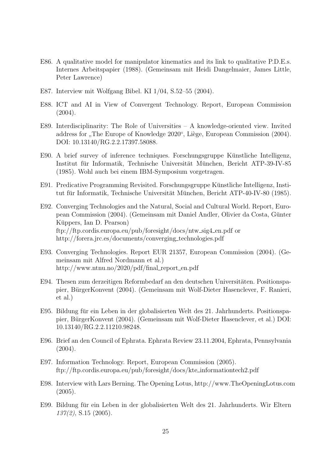- E86. A qualitative model for manipulator kinematics and its link to qualitative P.D.E.s. Internes Arbeitspapier (1988). (Gemeinsam mit Heidi Dangelmaier, James Little, Peter Lawrence)
- E87. Interview mit Wolfgang Bibel. KI 1/04, S.52–55 (2004).
- E88. ICT and AI in View of Convergent Technology. Report, European Commission  $(2004).$
- E89. Interdisciplinarity: The Role of Universities A knowledge-oriented view. Invited address for "The Europe of Knowledge 2020", Liège, European Commission (2004).<br>DOL 10.13140 (DC 3.3.17297 58099) DOI: 10.13140/RG.2.2.17397.58088.
- E90. A brief survey of inference techniques. Forschungsgruppe Künstliche Intelligenz, Institut für Informatik, Technische Universität München, Bericht ATP-39-IV-85 (1985). Wohl auch bei einem IBM-Symposium vorgetragen.
- E91. Predicative Programming Revisited. Forschungsgruppe Künstliche Intelligenz, Institut für Informatik, Technische Universität München, Bericht ATP-40-IV-80 (1985).
- E92. Converging Technologies and the Natural, Social and Cultural World. Report, European Commission (2004). (Gemeinsam mit Daniel Andler, Olivier da Costa, Günter Küppers, Ian D. Pearson) ftp://ftp.cordis.europa.eu/pub/foresight/docs/ntw\_sig4\_en.pdf or http://forera.jrc.es/documents/converging technologies.pdf
- E93. Converging Technologies. Report EUR 21357, European Commission (2004). (Gemeinsam mit Alfred Nordmann et al.) http://www.ntnu.no/2020/pdf/final\_report\_en.pdf
- E94. Thesen zum derzeitigen Reformbedarf an den deutschen Universitäten. Positionspapier, BürgerKonvent (2004). (Gemeinsam mit Wolf-Dieter Hasenclever, F. Ranieri, et al.)
- E95. Bildung für ein Leben in der globalisierten Welt des 21. Jahrhunderts. Positionspapier, BurgerKonvent (2004). (Gemeinsam mit Wolf-Dieter Hasenclever, et al.) DOI: ¨ 10.13140/RG.2.2.11210.98248.
- E96. Brief an den Council of Ephrata. Ephrata Review 23.11.2004, Ephrata, Pennsylvania (2004).
- E97. Information Technology. Report, European Commission (2005). ftp://ftp.cordis.europa.eu/pub/foresight/docs/kte informationtech2.pdf
- E98. Interview with Lars Berning. The Opening Lotus, http://www.TheOpeningLotus.com  $(2005).$
- E99. Bildung für ein Leben in der globalisierten Welt des 21. Jahrhunderts. Wir Eltern 137(2), S.15 (2005).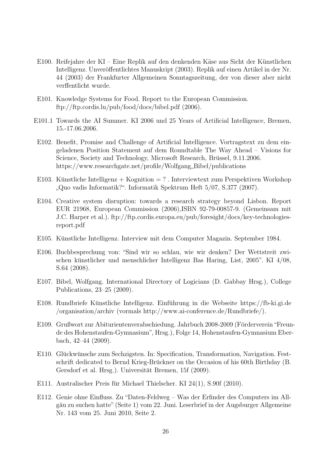- E100. Reifejahre der KI Eine Replik auf den denkenden Käse aus Sicht der Künstlichen Intelligenz. Unveröffentlichtes Manuskript (2003). Replik auf einen Artikel in der Nr. 44 (2003) der Frankfurter Allgemeinen Sonntagszeitung, der von dieser aber nicht verffentlicht wurde.
- E101. Knowledge Systems for Food. Report to the European Commission. ftp://ftp.cordis.lu/pub/food/docs/bibel.pdf (2006).
- E101.1 Towards the AI Summer. KI 2006 und 25 Years of Artificial Intelligence, Bremen, 15.-17.06.2006.
- E102. Benefit, Promise and Challenge of Artificial Intelligence. Vortragstext zu dem eingeladenen Position Statement auf dem Roundtable The Way Ahead – Visions for Science, Society and Technology, Microsoft Research, Brüssel, 9.11.2006. https://www.researchgate.net/profile/Wolfgang Bibel/publications
- E103. Künstliche Intelligenz + Kognition = ? . Interviewtext zum Perspektiven Workshop "Quo vadis Informatik?". Informatik Spektrum Heft 5/07, S.377 (2007).
- E104. Creative system disruption: towards a research strategy beyond Lisbon. Report EUR 21968, European Commission (2006),ISBN 92-79-00857-9. (Gemeinsam mit J.C. Harper et al.). ftp://ftp.cordis.europa.eu/pub/foresight/docs/key-technologiesreport.pdf
- E105. Kunstliche Intelligenz. Interview mit dem Computer Magazin. September 1984. ¨
- E106. Buchbesprechung von: "Sind wir so schlau, wie wir denken? Der Wettstreit zwischen künstlicher und menschlicher Intelligenz Bas Haring, List, 2005". KI  $4/08$ , S.64 (2008).
- E107. Bibel, Wolfgang. International Directory of Logicians (D. Gabbay Hrsg.), College Publications, 23–25 (2009).
- E108. Rundbriefe Künstliche Intelligenz. Einführung in die Webseite https://fb-ki.gi.de /organisation/archiv (vormals http://www.ai-conference.de/Rundbriefe/).
- E109. Grußwort zur Abiturientenverabschiedung. Jahrbuch 2008-2009 (Förderverein "Freunde des Hohenstaufen-Gymnasium", Hrsg.), Folge 14, Hohenstaufen-Gymnasium Eberbach, 42–44 (2009).
- E110. Glückwünsche zum Sechzigsten. In: Specification, Transformation, Navigation. Festschrift dedicated to Bernd Krieg-Brückner on the Occasion of his 60th Birthday (B. Gersdorf et al. Hrsg.). Universität Bremen, 15f (2009).
- E111. Australischer Preis für Michael Thielscher. KI 24(1), S.90f (2010).
- E112. Genie ohne Einfluss. Zu "Daten-Feldweg Was der Erfinder des Computers im Allgäu zu suchen hatte" (Seite 1) vom 22. Juni. Leserbrief in der Augsburger Allgemeine Nr. 143 vom 25. Juni 2010, Seite 2.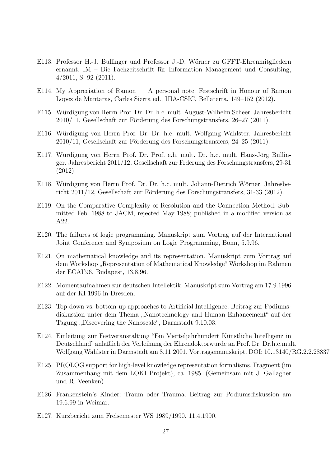- E113. Professor H.-J. Bullinger und Professor J.-D. Wörner zu GFFT-Ehrenmitgliedern ernannt. IM – Die Fachzeitschrift für Information Management und Consulting, 4/2011, S. 92 (2011).
- E114. My Appreciation of Ramon A personal note. Festschrift in Honour of Ramon Lopez de Mantaras, Carles Sierra ed., IIIA-CSIC, Bellaterra, 149–152 (2012).
- E115. Wurdigung von Herrn Prof. Dr. Dr. h.c. mult. August-Wilhelm Scheer. Jahresbericht ¨  $2010/11$ , Gesellschaft zur Förderung des Forschungstransfers,  $26-27$  (2011).
- E116. Wurdigung von Herrn Prof. Dr. Dr. h.c. mult. Wolfgang Wahlster. Jahresbericht ¨  $2010/11$ , Gesellschaft zur Förderung des Forschungstransfers,  $24-25$  (2011).
- E117. Würdigung von Herrn Prof. Dr. Prof. e.h. mult. Dr. h.c. mult. Hans-Jörg Bullinger. Jahresbericht 2011/12, Gesellschaft zur Frderung des Forschungstransfers, 29-31 (2012).
- E118. Würdigung von Herrn Prof. Dr. Dr. h.c. mult. Johann-Dietrich Wörner. Jahresbericht  $2011/12$ , Gesellschaft zur Förderung des Forschungstransfers, 31-33 (2012).
- E119. On the Comparative Complexity of Resolution and the Connection Method. Submitted Feb. 1988 to JACM, rejected May 1988; published in a modified version as A22.
- E120. The failures of logic programming. Manuskript zum Vortrag auf der International Joint Conference and Symposium on Logic Programming, Bonn, 5.9.96.
- E121. On mathematical knowledge and its representation. Manuskript zum Vortrag auf dem Workshop "Representation of Mathematical Knowledge" Workshop im Rahmen<br>der ECAROS, Brakanset, 12,8,06 der ECAI'96, Budapest, 13.8.96.
- E122. Momentaufnahmen zur deutschen Intellektik. Manuskript zum Vortrag am 17.9.1996 auf der KI 1996 in Dresden.
- E123. Top-down vs. bottom-up approaches to Artificial Intelligence. Beitrag zur Podiumsdiskussion unter dem Thema "Nanotechnology and Human Enhancement" auf der Termen Diesenwing the Nanopale". Democted to 0.10.02 Tagung " Discovering the Nanoscale", Darmstadt 9.10.03.
- E124. Einleitung zur Festveranstaltung "Ein Vierteljahrhundert Kunstliche Intelligenz in ¨ Deutschland" anläßlich der Verleihung der Ehrendoktorwürde an Prof. Dr. Dr.h.c.mult. Wolfgang Wahlster in Darmstadt am 8.11.2001. Vortragsmanuskript. DOI: 10.13140/RG.2.2.28837
- E125. PROLOG support for high-level knowledge representation formalisms. Fragment (im Zusammenhang mit dem LOKI Projekt), ca. 1985. (Gemeinsam mit J. Gallagher und R. Veenken)
- E126. Frankenstein's Kinder: Traum oder Trauma. Beitrag zur Podiumsdiskussion am 19.6.99 in Weimar.
- E127. Kurzbericht zum Freisemester WS 1989/1990, 11.4.1990.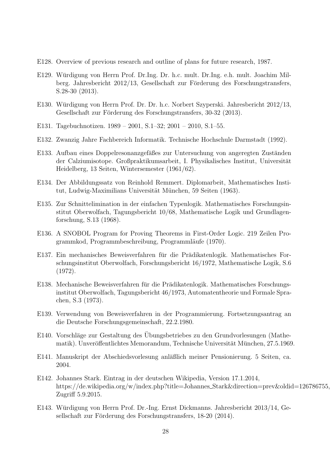- E128. Overview of previous research and outline of plans for future research, 1987.
- E129. Würdigung von Herrn Prof. Dr.Ing. Dr. h.c. mult. Dr.Ing. e.h. mult. Joachim Milberg. Jahresbericht  $2012/13$ , Gesellschaft zur Förderung des Forschungstransfers, S.28-30 (2013).
- E130. Würdigung von Herrn Prof. Dr. Dr. h.c. Norbert Szyperski. Jahresbericht 2012/13, Gesellschaft zur Förderung des Forschungstransfers, 30-32 (2013).
- E131. Tagebuchnotizen. 1989 2001, S.1–32; 2001 2010, S.1–55.
- E132. Zwanzig Jahre Fachbereich Informatik. Technische Hochschule Darmstadt (1992).
- E133. Aufbau eines Doppelresonanzgefäßes zur Untersuchung von angeregten Zuständen der Calziumisotope. Großpraktikumsarbeit, I. Physikalisches Institut, Universität Heidelberg, 13 Seiten, Wintersemester (1961/62).
- E134. Der Abbildungssatz von Reinhold Remmert. Diplomarbeit, Mathematisches Institut, Ludwig-Maximilians Universität München, 59 Seiten (1963).
- E135. Zur Schnittelimination in der einfachen Typenlogik. Mathematisches Forschungsinstitut Oberwolfach, Tagungsbericht 10/68, Mathematische Logik und Grundlagenforschung, S.13 (1968).
- E136. A SNOBOL Program for Proving Theorems in First-Order Logic. 219 Zeilen Programmkod, Programmbeschreibung, Programmläufe (1970).
- E137. Ein mechanisches Beweisverfahren für die Prädikatenlogik. Mathematisches Forschungsinstitut Oberwolfach, Forschungsbericht 16/1972, Mathematische Logik, S.6 (1972).
- E138. Mechanische Beweisverfahren für die Prädikatenlogik. Mathematisches Forschungsinstitut Oberwolfach, Tagungsbericht 46/1973, Automatentheorie und Formale Sprachen, S.3 (1973).
- E139. Verwendung von Beweisverfahren in der Programmierung. Fortsetzungsantrag an die Deutsche Forschungsgemeinschaft, 22.2.1980.
- E140. Vorschläge zur Gestaltung des Ubungsbetriebes zu den Grundvorlesungen (Mathematik). Unveröffentlichtes Memorandum, Technische Universität München, 27.5.1969.
- E141. Manuskript der Abschiedsvorlesung anläßlich meiner Pensionierung. 5 Seiten, ca. 2004.
- E142. Johannes Stark. Eintrag in der deutschen Wikipedia, Version 17.1.2014, https://de.wikipedia.org/w/index.php?title=Johannes Stark&direction=prev&oldid=126786755, Zugriff 5.9.2015.
- E143. Würdigung von Herrn Prof. Dr.-Ing. Ernst Dickmanns. Jahresbericht 2013/14, Gesellschaft zur Förderung des Forschungstransfers, 18-20 (2014).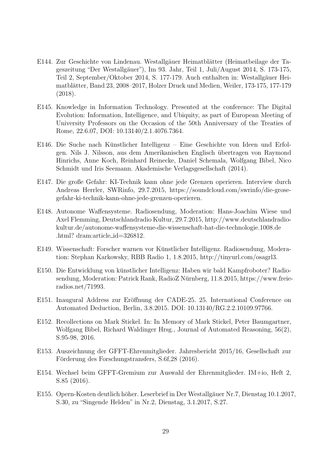- E144. Zur Geschichte von Lindenau. Westallgäuer Heimatblätter (Heimatbeilage der Tageszeitung "Der Westallgäuer"), Im 93. Jahr, Teil 1, Juli/August 2014, S. 173-175, Teil 2, September/Oktober 2014, S. 177-179. Auch enthalten in: Westallgäuer Heimatblätter, Band 23, 2008–2017, Holzer Druck und Medien, Weiler, 173-175, 177-179 (2018).
- E145. Knowledge in Information Technology. Presented at the conference: The Digital Evolution: Information, Intelligence, and Ubiquity, as part of European Meeting of University Professors on the Occasion of the 50th Anniversary of the Treaties of Rome, 22.6.07, DOI: 10.13140/2.1.4076.7364.
- E146. Die Suche nach Künstlicher Intelligenz Eine Geschichte von Ideen und Erfolgen. Nils J. Nilsson, aus dem Amerikanischen Englisch ubertragen von Raymond ¨ Hinrichs, Anne Koch, Reinhard Reinecke, Daniel Schemala, Wolfgang Bibel, Nico Schmidt und Iris Seemann. Akademische Verlagsgesellschaft (2014).
- E147. Die große Gefahr: KI-Technik kann ohne jede Grenzen operieren. Interview durch Andreas Herrler, SWRinfo, 29.7.2015, https://soundcloud.com/swrinfo/die-grosegefahr-ki-technik-kann-ohne-jede-grenzen-operieren.
- E148. Autonome Waffensysteme. Radiosendung, Moderation: Hans-Joachim Wiese und Axel Flemming, Deutschlandradio Kultur, 29.7.2015, http://www.deutschlandradiokultur.de/autonome-waffensysteme-die-wissenschaft-hat-die-technologie.1008.de .html? dram:article id=326812.
- E149. Wissenschaft: Forscher warnen vor Kunstlicher Intelligenz. Radiosendung, Modera- ¨ tion: Stephan Karkowsky, RBB Radio 1, 1.8.2015, http://tinyurl.com/osagrl3.
- E150. Die Entwicklung von künstlicher Intelligenz: Haben wir bald Kampfroboter? Radiosendung, Moderation: Patrick Rank, RadioZ Nürnberg, 11.8.2015, https://www.freieradios.net/71993.
- E151. Inaugural Address zur Eröffnung der CADE-25. 25. International Conference on Automated Deduction, Berlin, 3.8.2015. DOI: 10.13140/RG.2.2.10109.97766.
- E152. Recollections on Mark Stickel. In: In Memory of Mark Stickel, Peter Baumgartner, Wolfgang Bibel, Richard Waldinger Hrsg., Journal of Automated Reasoning, 56(2), S.95-98, 2016.
- E153. Auszeichnung der GFFT-Ehrenmitglieder. Jahresbericht 2015/16, Gesellschaft zur Förderung des Forschungstransfers, S.6f,28 (2016).
- E154. Wechsel beim GFFT-Gremium zur Auswahl der Ehrenmitglieder. IM+io, Heft 2, S.85 (2016).
- E155. Opern-Kosten deutlich höher. Leserbrief in Der Westallgäuer Nr.7, Dienstag 10.1.2017, S.30, zu "Singende Helden" in Nr.2, Dienstag, 3.1.2017, S.27.